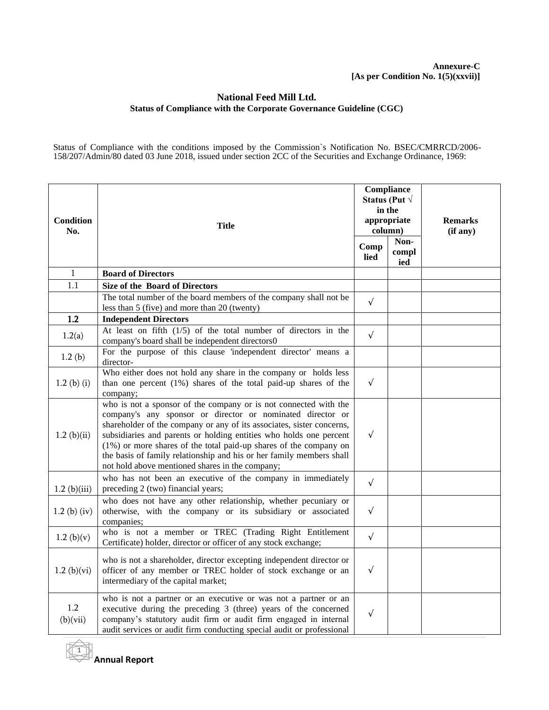## **Annexure-C [As per Condition No. 1(5)(xxvii)]**

## **National Feed Mill Ltd. Status of Compliance with the Corporate Governance Guideline (CGC)**

Status of Compliance with the conditions imposed by the Commission`s Notification No. BSEC/CMRRCD/2006- 158/207/Admin/80 dated 03 June 2018, issued under section 2CC of the Securities and Exchange Ordinance, 1969:

| Condition<br>No. | Title                                                                                                                                                                                                                                                                                                                                                                                                                                                                         | in the<br>column) | Compliance<br>Status (Put $\sqrt$<br>appropriate | <b>Remarks</b><br>(if any) |
|------------------|-------------------------------------------------------------------------------------------------------------------------------------------------------------------------------------------------------------------------------------------------------------------------------------------------------------------------------------------------------------------------------------------------------------------------------------------------------------------------------|-------------------|--------------------------------------------------|----------------------------|
|                  |                                                                                                                                                                                                                                                                                                                                                                                                                                                                               | Comp<br>lied      | Non-<br>compl<br>ied                             |                            |
| 1                | <b>Board of Directors</b>                                                                                                                                                                                                                                                                                                                                                                                                                                                     |                   |                                                  |                            |
| 1.1              | <b>Size of the Board of Directors</b>                                                                                                                                                                                                                                                                                                                                                                                                                                         |                   |                                                  |                            |
|                  | The total number of the board members of the company shall not be<br>less than 5 (five) and more than 20 (twenty)                                                                                                                                                                                                                                                                                                                                                             | $\sqrt{ }$        |                                                  |                            |
| 1.2              | <b>Independent Directors</b>                                                                                                                                                                                                                                                                                                                                                                                                                                                  |                   |                                                  |                            |
| 1.2(a)           | At least on fifth $(1/5)$ of the total number of directors in the<br>company's board shall be independent directors0                                                                                                                                                                                                                                                                                                                                                          | $\sqrt{ }$        |                                                  |                            |
| 1.2(b)           | For the purpose of this clause 'independent director' means a<br>director-                                                                                                                                                                                                                                                                                                                                                                                                    |                   |                                                  |                            |
| $1.2$ (b) (i)    | Who either does not hold any share in the company or holds less<br>than one percent (1%) shares of the total paid-up shares of the<br>company;                                                                                                                                                                                                                                                                                                                                | $\sqrt{ }$        |                                                  |                            |
| 1.2~(b)(ii)      | who is not a sponsor of the company or is not connected with the<br>company's any sponsor or director or nominated director or<br>shareholder of the company or any of its associates, sister concerns,<br>subsidiaries and parents or holding entities who holds one percent<br>(1%) or more shares of the total paid-up shares of the company on<br>the basis of family relationship and his or her family members shall<br>not hold above mentioned shares in the company; | $\sqrt{ }$        |                                                  |                            |
| $1.2$ (b)(iii)   | who has not been an executive of the company in immediately<br>preceding 2 (two) financial years;                                                                                                                                                                                                                                                                                                                                                                             | $\sqrt{ }$        |                                                  |                            |
| $1.2$ (b) (iv)   | who does not have any other relationship, whether pecuniary or<br>otherwise, with the company or its subsidiary or associated<br>companies;                                                                                                                                                                                                                                                                                                                                   | $\sqrt{ }$        |                                                  |                            |
| 1.2~(b)(v)       | who is not a member or TREC (Trading Right Entitlement<br>Certificate) holder, director or officer of any stock exchange;                                                                                                                                                                                                                                                                                                                                                     | $\sqrt{ }$        |                                                  |                            |
| 1.2(b)(vi)       | who is not a shareholder, director excepting independent director or<br>officer of any member or TREC holder of stock exchange or an<br>intermediary of the capital market;                                                                                                                                                                                                                                                                                                   | $\sqrt{ }$        |                                                  |                            |
| 1.2<br>(b)(vii)  | who is not a partner or an executive or was not a partner or an<br>executive during the preceding 3 (three) years of the concerned<br>company's statutory audit firm or audit firm engaged in internal<br>audit services or audit firm conducting special audit or professional                                                                                                                                                                                               | $\sqrt{ }$        |                                                  |                            |

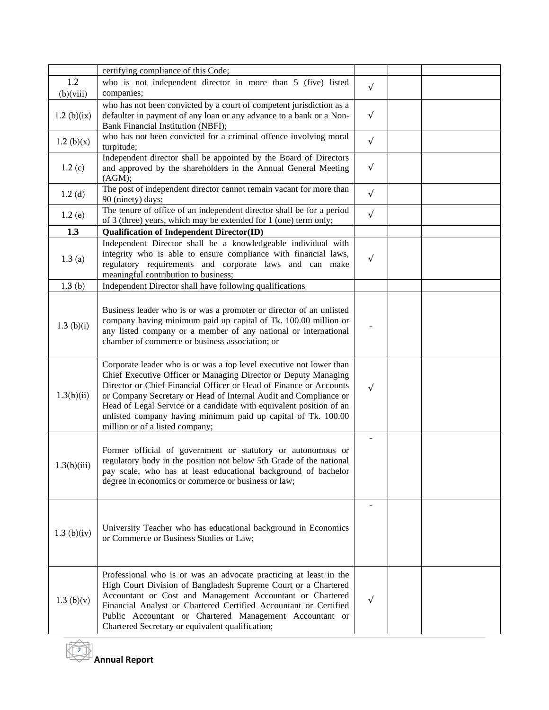|                  | certifying compliance of this Code;                                                                                                                                                                                                                                                                                                                                                                                                                         |            |  |
|------------------|-------------------------------------------------------------------------------------------------------------------------------------------------------------------------------------------------------------------------------------------------------------------------------------------------------------------------------------------------------------------------------------------------------------------------------------------------------------|------------|--|
| 1.2<br>(b)(viii) | who is not independent director in more than 5 (five) listed<br>companies;                                                                                                                                                                                                                                                                                                                                                                                  | $\sqrt{ }$ |  |
| 1.2 (b) $(ix)$   | who has not been convicted by a court of competent jurisdiction as a<br>defaulter in payment of any loan or any advance to a bank or a Non-<br>Bank Financial Institution (NBFI);                                                                                                                                                                                                                                                                           | $\sqrt{ }$ |  |
| 1.2~(b)(x)       | who has not been convicted for a criminal offence involving moral<br>turpitude;                                                                                                                                                                                                                                                                                                                                                                             | $\sqrt{ }$ |  |
| 1.2(c)           | Independent director shall be appointed by the Board of Directors<br>and approved by the shareholders in the Annual General Meeting<br>(AGM);                                                                                                                                                                                                                                                                                                               | $\sqrt{ }$ |  |
| 1.2(d)           | The post of independent director cannot remain vacant for more than<br>90 (ninety) days;                                                                                                                                                                                                                                                                                                                                                                    | $\sqrt{ }$ |  |
| 1.2(e)           | The tenure of office of an independent director shall be for a period<br>of 3 (three) years, which may be extended for 1 (one) term only;                                                                                                                                                                                                                                                                                                                   | $\sqrt{ }$ |  |
| 1.3              | <b>Qualification of Independent Director(ID)</b>                                                                                                                                                                                                                                                                                                                                                                                                            |            |  |
| 1.3(a)           | Independent Director shall be a knowledgeable individual with<br>integrity who is able to ensure compliance with financial laws,<br>regulatory requirements and corporate laws and can make<br>meaningful contribution to business;                                                                                                                                                                                                                         | $\sqrt{ }$ |  |
| 1.3(b)           | Independent Director shall have following qualifications                                                                                                                                                                                                                                                                                                                                                                                                    |            |  |
| 1.3(b)(i)        | Business leader who is or was a promoter or director of an unlisted<br>company having minimum paid up capital of Tk. 100.00 million or<br>any listed company or a member of any national or international<br>chamber of commerce or business association; or                                                                                                                                                                                                |            |  |
| 1.3(b)(ii)       | Corporate leader who is or was a top level executive not lower than<br>Chief Executive Officer or Managing Director or Deputy Managing<br>Director or Chief Financial Officer or Head of Finance or Accounts<br>or Company Secretary or Head of Internal Audit and Compliance or<br>Head of Legal Service or a candidate with equivalent position of an<br>unlisted company having minimum paid up capital of Tk. 100.00<br>million or of a listed company; | $\sqrt{ }$ |  |
| 1.3(b)(iii)      | Former official of government or statutory or autonomous or<br>regulatory body in the position not below 5th Grade of the national<br>pay scale, who has at least educational background of bachelor<br>degree in economics or commerce or business or law;                                                                                                                                                                                                 |            |  |
| 1.3~(b)(iv)      | University Teacher who has educational background in Economics<br>or Commerce or Business Studies or Law;                                                                                                                                                                                                                                                                                                                                                   |            |  |
| 1.3~(b)(v)       | Professional who is or was an advocate practicing at least in the<br>High Court Division of Bangladesh Supreme Court or a Chartered<br>Accountant or Cost and Management Accountant or Chartered<br>Financial Analyst or Chartered Certified Accountant or Certified<br>Public Accountant or Chartered Management Accountant or<br>Chartered Secretary or equivalent qualification;                                                                         | $\sqrt{ }$ |  |

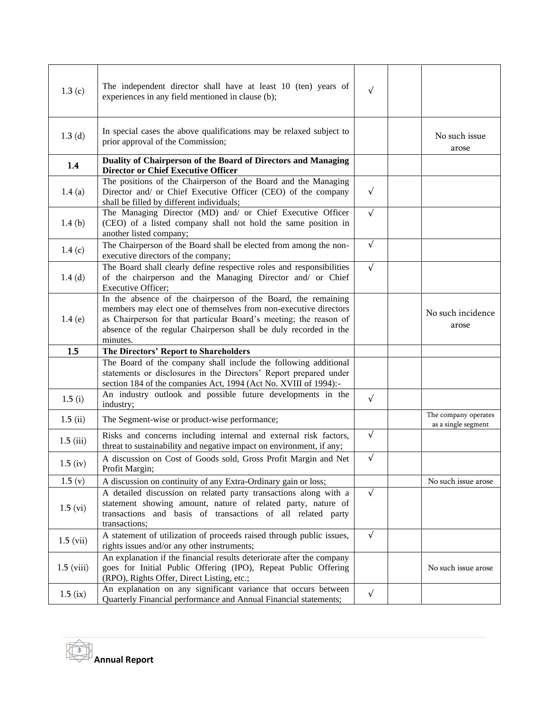| 1.3(c)                | The independent director shall have at least 10 (ten) years of<br>experiences in any field mentioned in clause (b);                                                                                                                                                                    | $\sqrt{ }$ |                                             |
|-----------------------|----------------------------------------------------------------------------------------------------------------------------------------------------------------------------------------------------------------------------------------------------------------------------------------|------------|---------------------------------------------|
| 1.3(d)                | In special cases the above qualifications may be relaxed subject to<br>prior approval of the Commission;                                                                                                                                                                               |            | No such issue<br>arose                      |
| 1.4                   | Duality of Chairperson of the Board of Directors and Managing<br><b>Director or Chief Executive Officer</b>                                                                                                                                                                            |            |                                             |
| 1.4(a)                | The positions of the Chairperson of the Board and the Managing<br>Director and/ or Chief Executive Officer (CEO) of the company<br>shall be filled by different individuals;                                                                                                           | $\sqrt{ }$ |                                             |
| 1.4(b)                | The Managing Director (MD) and/ or Chief Executive Officer<br>(CEO) of a listed company shall not hold the same position in<br>another listed company;                                                                                                                                 | $\sqrt{ }$ |                                             |
| 1.4(c)                | The Chairperson of the Board shall be elected from among the non-<br>executive directors of the company;                                                                                                                                                                               | $\sqrt{ }$ |                                             |
| 1.4(d)                | The Board shall clearly define respective roles and responsibilities<br>of the chairperson and the Managing Director and/ or Chief<br><b>Executive Officer:</b>                                                                                                                        | $\sqrt{ }$ |                                             |
| 1.4(e)                | In the absence of the chairperson of the Board, the remaining<br>members may elect one of themselves from non-executive directors<br>as Chairperson for that particular Board's meeting; the reason of<br>absence of the regular Chairperson shall be duly recorded in the<br>minutes. |            | No such incidence<br>arose                  |
| 1.5                   | The Directors' Report to Shareholders                                                                                                                                                                                                                                                  |            |                                             |
|                       | The Board of the company shall include the following additional<br>statements or disclosures in the Directors' Report prepared under<br>section 184 of the companies Act, 1994 (Act No. XVIII of 1994):-                                                                               |            |                                             |
| 1.5(i)                | An industry outlook and possible future developments in the<br>industry;                                                                                                                                                                                                               | $\sqrt{ }$ |                                             |
| 1.5(i)                | The Segment-wise or product-wise performance;                                                                                                                                                                                                                                          |            | The company operates<br>as a single segment |
| $1.5$ (iii)           | Risks and concerns including internal and external risk factors,<br>threat to sustainability and negative impact on environment, if any;                                                                                                                                               | $\sqrt{ }$ |                                             |
| $1.5 \ (\mathrm{iv})$ | A discussion on Cost of Goods sold, Gross Profit Margin and Net<br>Profit Margin;                                                                                                                                                                                                      | $\sqrt{ }$ |                                             |
| 1.5(y)                | A discussion on continuity of any Extra-Ordinary gain or loss;                                                                                                                                                                                                                         |            | No such issue arose                         |
| $1.5 \,(vi)$          | A detailed discussion on related party transactions along with a<br>statement showing amount, nature of related party, nature of<br>transactions and basis of transactions of all related party<br>transactions;                                                                       | $\sqrt{ }$ |                                             |
| $1.5 \text{ (vii)}$   | A statement of utilization of proceeds raised through public issues,<br>rights issues and/or any other instruments;                                                                                                                                                                    | $\sqrt{ }$ |                                             |
| $1.5$ (viii)          | An explanation if the financial results deteriorate after the company<br>goes for Initial Public Offering (IPO), Repeat Public Offering<br>(RPO), Rights Offer, Direct Listing, etc.;                                                                                                  |            | No such issue arose                         |
| $1.5$ (ix)            | An explanation on any significant variance that occurs between<br>Quarterly Financial performance and Annual Financial statements;                                                                                                                                                     | $\sqrt{ }$ |                                             |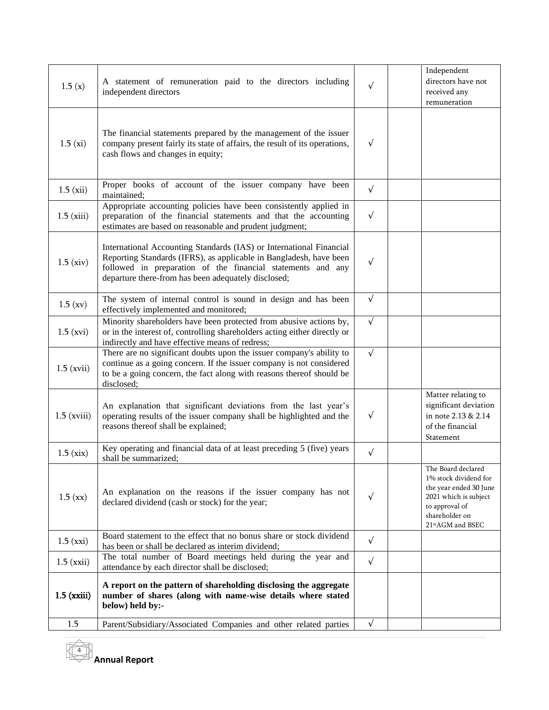| 1.5(x)                                  | A statement of remuneration paid to the directors including<br>independent directors                                                                                                                                                                            | $\sqrt{ }$ | Independent<br>directors have not<br>received any<br>remuneration                                                                                                   |
|-----------------------------------------|-----------------------------------------------------------------------------------------------------------------------------------------------------------------------------------------------------------------------------------------------------------------|------------|---------------------------------------------------------------------------------------------------------------------------------------------------------------------|
| 1.5 (xi)                                | The financial statements prepared by the management of the issuer<br>company present fairly its state of affairs, the result of its operations,<br>cash flows and changes in equity;                                                                            | $\sqrt{ }$ |                                                                                                                                                                     |
| $1.5 \ (xii)$                           | Proper books of account of the issuer company have been<br>maintained;                                                                                                                                                                                          | $\sqrt{ }$ |                                                                                                                                                                     |
| $1.5$ (xiii)                            | Appropriate accounting policies have been consistently applied in<br>preparation of the financial statements and that the accounting<br>estimates are based on reasonable and prudent judgment;                                                                 | $\sqrt{ }$ |                                                                                                                                                                     |
| 1.5 (xiv)                               | International Accounting Standards (IAS) or International Financial<br>Reporting Standards (IFRS), as applicable in Bangladesh, have been<br>followed in preparation of the financial statements and any<br>departure there-from has been adequately disclosed; | $\sqrt{ }$ |                                                                                                                                                                     |
| $1.5$ (xv)                              | The system of internal control is sound in design and has been<br>effectively implemented and monitored;                                                                                                                                                        | $\sqrt{ }$ |                                                                                                                                                                     |
| $1.5$ (xvi)                             | Minority shareholders have been protected from abusive actions by,<br>or in the interest of, controlling shareholders acting either directly or<br>indirectly and have effective means of redress;                                                              | $\sqrt{ }$ |                                                                                                                                                                     |
| $1.5$ (xvii)                            | There are no significant doubts upon the issuer company's ability to<br>continue as a going concern. If the issuer company is not considered<br>to be a going concern, the fact along with reasons thereof should be<br>disclosed;                              | $\sqrt{ }$ |                                                                                                                                                                     |
| $1.5$ (xviii)                           | An explanation that significant deviations from the last year's<br>operating results of the issuer company shall be highlighted and the<br>reasons thereof shall be explained;                                                                                  | $\sqrt{ }$ | Matter relating to<br>significant deviation<br>in note 2.13 & 2.14<br>of the financial<br>Statement                                                                 |
| 1.5(xix)                                | Key operating and financial data of at least preceding 5 (five) years<br>shall be summarized;                                                                                                                                                                   | $\sqrt{ }$ |                                                                                                                                                                     |
| 1.5 (xx)                                | An explanation on the reasons if the issuer company has not<br>declared dividend (cash or stock) for the year;                                                                                                                                                  | $\sqrt{ }$ | The Board declared<br>1% stock dividend for<br>the year ended 30 June<br>2021 which is subject<br>to approval of<br>shareholder on<br>21 <sup>st</sup> AGM and BSEC |
| $1.5$ (xxi)                             | Board statement to the effect that no bonus share or stock dividend<br>has been or shall be declared as interim dividend;                                                                                                                                       | $\sqrt{ }$ |                                                                                                                                                                     |
| $1.5$ (xxii)                            | The total number of Board meetings held during the year and<br>attendance by each director shall be disclosed;                                                                                                                                                  | $\sqrt{ }$ |                                                                                                                                                                     |
| $1.5$ ( $\boldsymbol{\mathrm{x}}$ xiii) | A report on the pattern of shareholding disclosing the aggregate<br>number of shares (along with name-wise details where stated<br>below) held by:-                                                                                                             |            |                                                                                                                                                                     |
| 1.5                                     | Parent/Subsidiary/Associated Companies and other related parties                                                                                                                                                                                                | $\sqrt{ }$ |                                                                                                                                                                     |

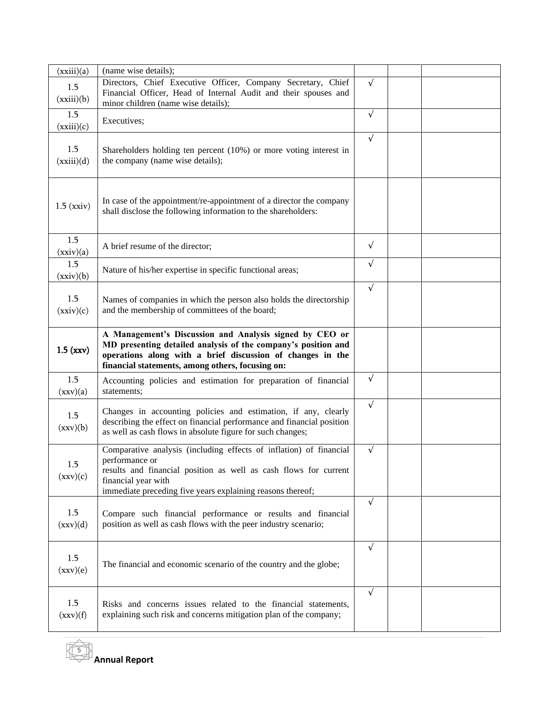| (xxiii)(a)                              | (name wise details);                                                                                                                                                                                                                          |            |  |
|-----------------------------------------|-----------------------------------------------------------------------------------------------------------------------------------------------------------------------------------------------------------------------------------------------|------------|--|
| 1.5<br>(xxiii)(b)                       | Directors, Chief Executive Officer, Company Secretary, Chief<br>Financial Officer, Head of Internal Audit and their spouses and<br>minor children (name wise details);                                                                        | $\sqrt{ }$ |  |
| 1.5<br>(xxiii)(c)                       | Executives;                                                                                                                                                                                                                                   | $\sqrt{ }$ |  |
| 1.5<br>(xxiii)(d)                       | Shareholders holding ten percent (10%) or more voting interest in<br>the company (name wise details);                                                                                                                                         | $\sqrt{ }$ |  |
| $1.5$ ( $\bar{x}$ $\bar{x}$ $\bar{y}$ ) | In case of the appointment/re-appointment of a director the company<br>shall disclose the following information to the shareholders:                                                                                                          |            |  |
| 1.5<br>(xxiv)(a)                        | A brief resume of the director;                                                                                                                                                                                                               | $\sqrt{ }$ |  |
| 1.5<br>(xxiv)(b)                        | Nature of his/her expertise in specific functional areas;                                                                                                                                                                                     | $\sqrt{ }$ |  |
| 1.5<br>(xxiv)(c)                        | Names of companies in which the person also holds the directorship<br>and the membership of committees of the board;                                                                                                                          | $\sqrt{ }$ |  |
| $1.5$ (xxv)                             | A Management's Discussion and Analysis signed by CEO or<br>MD presenting detailed analysis of the company's position and<br>operations along with a brief discussion of changes in the<br>financial statements, among others, focusing on:    |            |  |
| 1.5<br>(xxv)(a)                         | Accounting policies and estimation for preparation of financial<br>statements;                                                                                                                                                                | $\sqrt{ }$ |  |
| 1.5<br>(xxv)(b)                         | Changes in accounting policies and estimation, if any, clearly<br>describing the effect on financial performance and financial position<br>as well as cash flows in absolute figure for such changes;                                         | $\sqrt{ }$ |  |
| 1.5<br>(xxy)(c)                         | Comparative analysis (including effects of inflation) of financial<br>performance or<br>results and financial position as well as cash flows for current<br>financial year with<br>immediate preceding five years explaining reasons thereof; | $\sqrt{ }$ |  |
| 1.5<br>(xxv)(d)                         | Compare such financial performance or results and financial<br>position as well as cash flows with the peer industry scenario;                                                                                                                | $\sqrt{ }$ |  |
| 1.5<br>(xxv)(e)                         | The financial and economic scenario of the country and the globe;                                                                                                                                                                             | $\sqrt{ }$ |  |
| 1.5<br>(xxv)(f)                         | Risks and concerns issues related to the financial statements,<br>explaining such risk and concerns mitigation plan of the company;                                                                                                           | $\sqrt{ }$ |  |

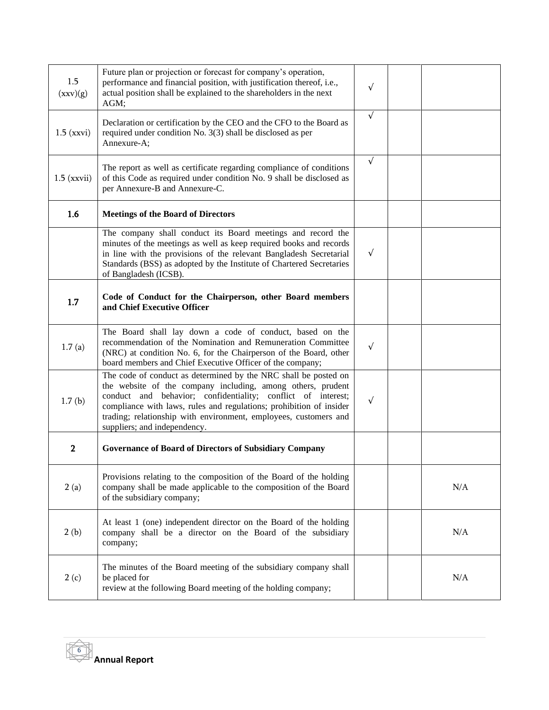| 1.5<br>(xxv)(g) | Future plan or projection or forecast for company's operation,<br>performance and financial position, with justification thereof, i.e.,<br>actual position shall be explained to the shareholders in the next<br>AGM;                                                                                                                                                     | $\sqrt{}$  |     |
|-----------------|---------------------------------------------------------------------------------------------------------------------------------------------------------------------------------------------------------------------------------------------------------------------------------------------------------------------------------------------------------------------------|------------|-----|
| $1.5$ (xxvi)    | Declaration or certification by the CEO and the CFO to the Board as<br>required under condition No. 3(3) shall be disclosed as per<br>Annexure-A;                                                                                                                                                                                                                         | $\sqrt{ }$ |     |
| $1.5$ (xxvii)   | The report as well as certificate regarding compliance of conditions<br>of this Code as required under condition No. 9 shall be disclosed as<br>per Annexure-B and Annexure-C.                                                                                                                                                                                            | $\sqrt{ }$ |     |
| 1.6             | <b>Meetings of the Board of Directors</b>                                                                                                                                                                                                                                                                                                                                 |            |     |
|                 | The company shall conduct its Board meetings and record the<br>minutes of the meetings as well as keep required books and records<br>in line with the provisions of the relevant Bangladesh Secretarial<br>Standards (BSS) as adopted by the Institute of Chartered Secretaries<br>of Bangladesh (ICSB).                                                                  | $\sqrt{ }$ |     |
| 1.7             | Code of Conduct for the Chairperson, other Board members<br>and Chief Executive Officer                                                                                                                                                                                                                                                                                   |            |     |
| 1.7(a)          | The Board shall lay down a code of conduct, based on the<br>recommendation of the Nomination and Remuneration Committee<br>(NRC) at condition No. 6, for the Chairperson of the Board, other<br>board members and Chief Executive Officer of the company;                                                                                                                 | $\sqrt{ }$ |     |
| 1.7(b)          | The code of conduct as determined by the NRC shall be posted on<br>the website of the company including, among others, prudent<br>conduct and behavior; confidentiality; conflict of interest;<br>compliance with laws, rules and regulations; prohibition of insider<br>trading; relationship with environment, employees, customers and<br>suppliers; and independency. | $\sqrt{ }$ |     |
| $\mathbf 2$     | <b>Governance of Board of Directors of Subsidiary Company</b>                                                                                                                                                                                                                                                                                                             |            |     |
| 2(a)            | Provisions relating to the composition of the Board of the holding<br>company shall be made applicable to the composition of the Board<br>of the subsidiary company;                                                                                                                                                                                                      |            | N/A |
| 2(b)            | At least 1 (one) independent director on the Board of the holding<br>company shall be a director on the Board of the subsidiary<br>company;                                                                                                                                                                                                                               |            | N/A |
| 2(c)            | The minutes of the Board meeting of the subsidiary company shall<br>be placed for<br>review at the following Board meeting of the holding company;                                                                                                                                                                                                                        |            | N/A |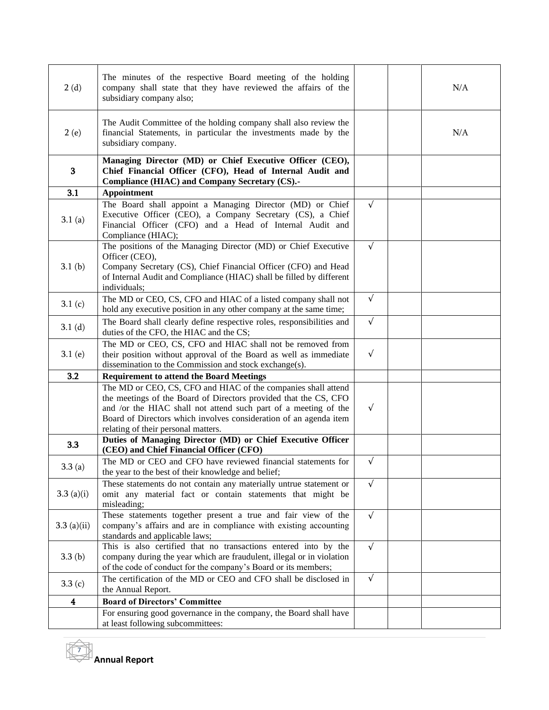| 2(d)          | The minutes of the respective Board meeting of the holding<br>company shall state that they have reviewed the affairs of the<br>subsidiary company also;                                                                                                                                                         |            | N/A |
|---------------|------------------------------------------------------------------------------------------------------------------------------------------------------------------------------------------------------------------------------------------------------------------------------------------------------------------|------------|-----|
| 2(e)          | The Audit Committee of the holding company shall also review the<br>financial Statements, in particular the investments made by the<br>subsidiary company.                                                                                                                                                       |            | N/A |
| 3             | Managing Director (MD) or Chief Executive Officer (CEO),<br>Chief Financial Officer (CFO), Head of Internal Audit and<br>Compliance (HIAC) and Company Secretary (CS).-                                                                                                                                          |            |     |
| 3.1           | <b>Appointment</b>                                                                                                                                                                                                                                                                                               |            |     |
| 3.1(a)        | The Board shall appoint a Managing Director (MD) or Chief<br>Executive Officer (CEO), a Company Secretary (CS), a Chief<br>Financial Officer (CFO) and a Head of Internal Audit and<br>Compliance (HIAC);                                                                                                        | $\sqrt{ }$ |     |
| 3.1(b)        | The positions of the Managing Director (MD) or Chief Executive<br>Officer (CEO),<br>Company Secretary (CS), Chief Financial Officer (CFO) and Head<br>of Internal Audit and Compliance (HIAC) shall be filled by different<br>individuals;                                                                       | $\sqrt{ }$ |     |
| 3.1 $(c)$     | The MD or CEO, CS, CFO and HIAC of a listed company shall not<br>hold any executive position in any other company at the same time;                                                                                                                                                                              | $\sqrt{ }$ |     |
| 3.1(d)        | The Board shall clearly define respective roles, responsibilities and<br>duties of the CFO, the HIAC and the CS;                                                                                                                                                                                                 | $\sqrt{ }$ |     |
| 3.1(e)        | The MD or CEO, CS, CFO and HIAC shall not be removed from<br>their position without approval of the Board as well as immediate<br>dissemination to the Commission and stock exchange(s).                                                                                                                         | $\sqrt{ }$ |     |
| 3.2           | <b>Requirement to attend the Board Meetings</b>                                                                                                                                                                                                                                                                  |            |     |
|               | The MD or CEO, CS, CFO and HIAC of the companies shall attend<br>the meetings of the Board of Directors provided that the CS, CFO<br>and /or the HIAC shall not attend such part of a meeting of the<br>Board of Directors which involves consideration of an agenda item<br>relating of their personal matters. | $\sqrt{ }$ |     |
| 3.3           | Duties of Managing Director (MD) or Chief Executive Officer<br>(CEO) and Chief Financial Officer (CFO)                                                                                                                                                                                                           |            |     |
| 3.3(a)        | The MD or CEO and CFO have reviewed financial statements for<br>the year to the best of their knowledge and belief;                                                                                                                                                                                              | $\sqrt{ }$ |     |
| 3.3(a)(i)     | These statements do not contain any materially untrue statement or<br>omit any material fact or contain statements that might be<br>misleading;                                                                                                                                                                  | $\sqrt{ }$ |     |
| $3.3$ (a)(ii) | These statements together present a true and fair view of the<br>company's affairs and are in compliance with existing accounting<br>standards and applicable laws;                                                                                                                                              | $\sqrt{ }$ |     |
| 3.3(b)        | This is also certified that no transactions entered into by the<br>company during the year which are fraudulent, illegal or in violation<br>of the code of conduct for the company's Board or its members;                                                                                                       | $\sqrt{ }$ |     |
| 3.3(c)        | The certification of the MD or CEO and CFO shall be disclosed in<br>the Annual Report.                                                                                                                                                                                                                           | $\sqrt{ }$ |     |
| 4             | <b>Board of Directors' Committee</b>                                                                                                                                                                                                                                                                             |            |     |
|               | For ensuring good governance in the company, the Board shall have<br>at least following subcommittees:                                                                                                                                                                                                           |            |     |

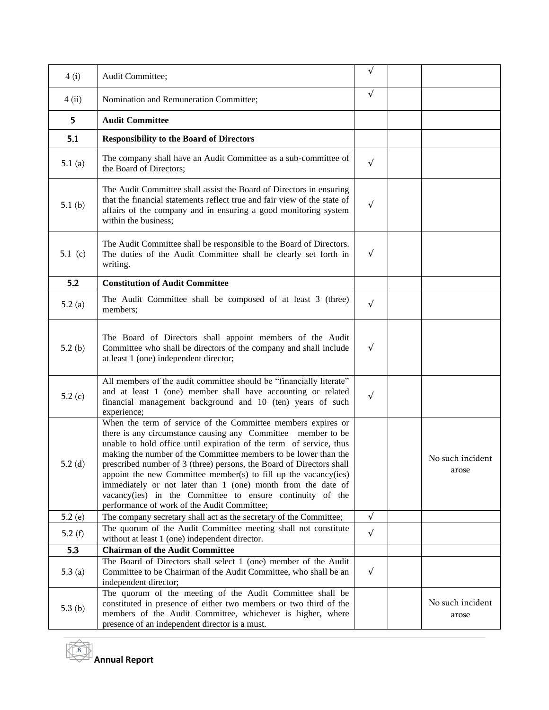| 4(i)      | Audit Committee;                                                                                                                                                                                                                                                                                                                                                                                                                                                                                                                                                                              | $\sqrt{}$  |                           |
|-----------|-----------------------------------------------------------------------------------------------------------------------------------------------------------------------------------------------------------------------------------------------------------------------------------------------------------------------------------------------------------------------------------------------------------------------------------------------------------------------------------------------------------------------------------------------------------------------------------------------|------------|---------------------------|
| 4(i)      | Nomination and Remuneration Committee;                                                                                                                                                                                                                                                                                                                                                                                                                                                                                                                                                        | $\sqrt{ }$ |                           |
| 5.        | <b>Audit Committee</b>                                                                                                                                                                                                                                                                                                                                                                                                                                                                                                                                                                        |            |                           |
| 5.1       | <b>Responsibility to the Board of Directors</b>                                                                                                                                                                                                                                                                                                                                                                                                                                                                                                                                               |            |                           |
| 5.1 $(a)$ | The company shall have an Audit Committee as a sub-committee of<br>the Board of Directors;                                                                                                                                                                                                                                                                                                                                                                                                                                                                                                    | $\sqrt{ }$ |                           |
| 5.1 $(b)$ | The Audit Committee shall assist the Board of Directors in ensuring<br>that the financial statements reflect true and fair view of the state of<br>affairs of the company and in ensuring a good monitoring system<br>within the business;                                                                                                                                                                                                                                                                                                                                                    | $\sqrt{ }$ |                           |
| 5.1 (c)   | The Audit Committee shall be responsible to the Board of Directors.<br>The duties of the Audit Committee shall be clearly set forth in<br>writing.                                                                                                                                                                                                                                                                                                                                                                                                                                            | $\sqrt{ }$ |                           |
| 5.2       | <b>Constitution of Audit Committee</b>                                                                                                                                                                                                                                                                                                                                                                                                                                                                                                                                                        |            |                           |
| 5.2(a)    | The Audit Committee shall be composed of at least 3 (three)<br>members;                                                                                                                                                                                                                                                                                                                                                                                                                                                                                                                       | $\sqrt{ }$ |                           |
| 5.2 $(b)$ | The Board of Directors shall appoint members of the Audit<br>Committee who shall be directors of the company and shall include<br>at least 1 (one) independent director;                                                                                                                                                                                                                                                                                                                                                                                                                      | $\sqrt{ }$ |                           |
| 5.2 $(c)$ | All members of the audit committee should be "financially literate"<br>and at least 1 (one) member shall have accounting or related<br>financial management background and 10 (ten) years of such<br>experience;                                                                                                                                                                                                                                                                                                                                                                              | $\sqrt{ }$ |                           |
| 5.2(d)    | When the term of service of the Committee members expires or<br>there is any circumstance causing any Committee member to be<br>unable to hold office until expiration of the term of service, thus<br>making the number of the Committee members to be lower than the<br>prescribed number of 3 (three) persons, the Board of Directors shall<br>appoint the new Committee member(s) to fill up the vacancy(ies)<br>immediately or not later than 1 (one) month from the date of<br>vacancy(ies) in the Committee to ensure continuity of the<br>performance of work of the Audit Committee; |            | No such incident<br>arose |
| 5.2(e)    | The company secretary shall act as the secretary of the Committee;                                                                                                                                                                                                                                                                                                                                                                                                                                                                                                                            | $\sqrt{ }$ |                           |
| 5.2 $(f)$ | The quorum of the Audit Committee meeting shall not constitute<br>without at least 1 (one) independent director.                                                                                                                                                                                                                                                                                                                                                                                                                                                                              | $\sqrt{ }$ |                           |
| 5.3       | <b>Chairman of the Audit Committee</b>                                                                                                                                                                                                                                                                                                                                                                                                                                                                                                                                                        |            |                           |
| 5.3(a)    | The Board of Directors shall select 1 (one) member of the Audit<br>Committee to be Chairman of the Audit Committee, who shall be an<br>independent director;                                                                                                                                                                                                                                                                                                                                                                                                                                  | $\sqrt{ }$ |                           |
| 5.3 $(b)$ | The quorum of the meeting of the Audit Committee shall be<br>constituted in presence of either two members or two third of the<br>members of the Audit Committee, whichever is higher, where<br>presence of an independent director is a must.                                                                                                                                                                                                                                                                                                                                                |            | No such incident<br>arose |

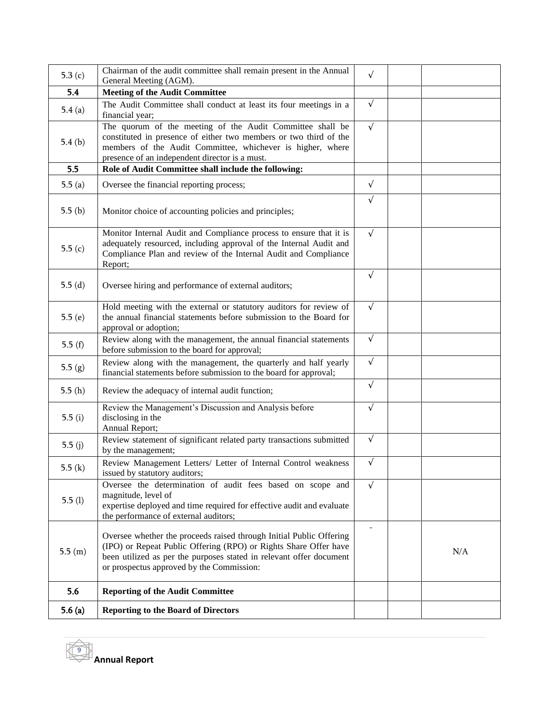| 5.3 $(c)$ | Chairman of the audit committee shall remain present in the Annual<br>General Meeting (AGM).                                                                                                                                                                | $\sqrt{ }$ |     |
|-----------|-------------------------------------------------------------------------------------------------------------------------------------------------------------------------------------------------------------------------------------------------------------|------------|-----|
| 5.4       | <b>Meeting of the Audit Committee</b>                                                                                                                                                                                                                       |            |     |
| 5.4(a)    | The Audit Committee shall conduct at least its four meetings in a<br>financial year;                                                                                                                                                                        | $\sqrt{ }$ |     |
| 5.4(b)    | The quorum of the meeting of the Audit Committee shall be<br>constituted in presence of either two members or two third of the<br>members of the Audit Committee, whichever is higher, where<br>presence of an independent director is a must.              | $\sqrt{ }$ |     |
| 5.5       | Role of Audit Committee shall include the following:                                                                                                                                                                                                        |            |     |
| 5.5(a)    | Oversee the financial reporting process;                                                                                                                                                                                                                    | $\sqrt{ }$ |     |
| 5.5 $(b)$ | Monitor choice of accounting policies and principles;                                                                                                                                                                                                       | $\sqrt{}$  |     |
| 5.5 $(c)$ | Monitor Internal Audit and Compliance process to ensure that it is<br>adequately resourced, including approval of the Internal Audit and<br>Compliance Plan and review of the Internal Audit and Compliance<br>Report;                                      | $\sqrt{ }$ |     |
| 5.5 $(d)$ | Oversee hiring and performance of external auditors;                                                                                                                                                                                                        | $\sqrt{}$  |     |
| 5.5 $(e)$ | Hold meeting with the external or statutory auditors for review of<br>the annual financial statements before submission to the Board for<br>approval or adoption;                                                                                           | $\sqrt{ }$ |     |
| 5.5 $(f)$ | Review along with the management, the annual financial statements<br>before submission to the board for approval;                                                                                                                                           | $\sqrt{ }$ |     |
| 5.5(g)    | Review along with the management, the quarterly and half yearly<br>financial statements before submission to the board for approval;                                                                                                                        | $\sqrt{ }$ |     |
| 5.5(h)    | Review the adequacy of internal audit function;                                                                                                                                                                                                             | $\sqrt{ }$ |     |
| 5.5 $(i)$ | Review the Management's Discussion and Analysis before<br>disclosing in the<br>Annual Report;                                                                                                                                                               | $\sqrt{}$  |     |
| 5.5 $(j)$ | Review statement of significant related party transactions submitted<br>by the management;                                                                                                                                                                  | $\sqrt{ }$ |     |
| 5.5(k)    | Review Management Letters/ Letter of Internal Control weakness<br>issued by statutory auditors;                                                                                                                                                             | $\sqrt{ }$ |     |
| 5.5(l)    | Oversee the determination of audit fees based on scope and<br>magnitude, level of<br>expertise deployed and time required for effective audit and evaluate<br>the performance of external auditors;                                                         | $\sqrt{}$  |     |
| 5.5(m)    | Oversee whether the proceeds raised through Initial Public Offering<br>(IPO) or Repeat Public Offering (RPO) or Rights Share Offer have<br>been utilized as per the purposes stated in relevant offer document<br>or prospectus approved by the Commission: | ÷          | N/A |
| 5.6       | <b>Reporting of the Audit Committee</b>                                                                                                                                                                                                                     |            |     |
| 5.6 $(a)$ | <b>Reporting to the Board of Directors</b>                                                                                                                                                                                                                  |            |     |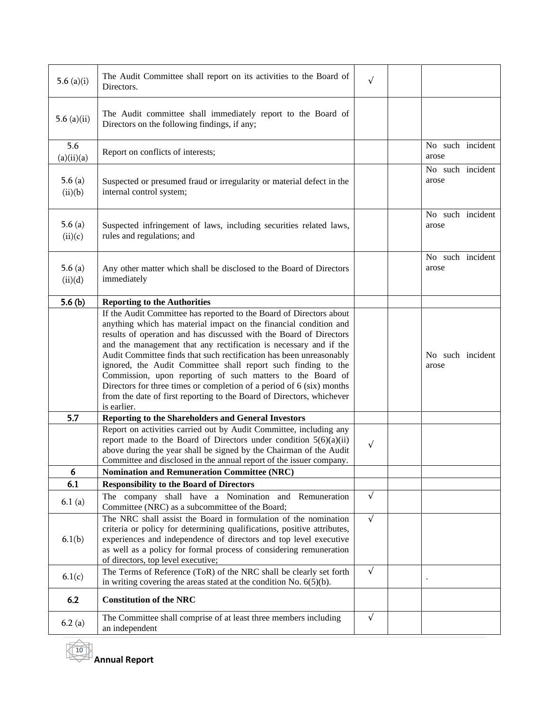| 5.6 $(a)(i)$         | The Audit Committee shall report on its activities to the Board of<br>Directors.                                                                                                                                                                                                                                                                                                                                                                                                                                                                                                                                                                           | $\sqrt{ }$ |                           |  |
|----------------------|------------------------------------------------------------------------------------------------------------------------------------------------------------------------------------------------------------------------------------------------------------------------------------------------------------------------------------------------------------------------------------------------------------------------------------------------------------------------------------------------------------------------------------------------------------------------------------------------------------------------------------------------------------|------------|---------------------------|--|
| 5.6 $(a)(ii)$        | The Audit committee shall immediately report to the Board of<br>Directors on the following findings, if any;                                                                                                                                                                                                                                                                                                                                                                                                                                                                                                                                               |            |                           |  |
| 5.6<br>(a)(ii)(a)    | Report on conflicts of interests;                                                                                                                                                                                                                                                                                                                                                                                                                                                                                                                                                                                                                          |            | No such incident<br>arose |  |
| 5.6 $(a)$<br>(ii)(b) | Suspected or presumed fraud or irregularity or material defect in the<br>internal control system;                                                                                                                                                                                                                                                                                                                                                                                                                                                                                                                                                          |            | No such incident<br>arose |  |
| 5.6 $(a)$<br>(ii)(c) | Suspected infringement of laws, including securities related laws,<br>rules and regulations; and                                                                                                                                                                                                                                                                                                                                                                                                                                                                                                                                                           |            | No such incident<br>arose |  |
| 5.6 $(a)$<br>(ii)(d) | Any other matter which shall be disclosed to the Board of Directors<br>immediately                                                                                                                                                                                                                                                                                                                                                                                                                                                                                                                                                                         |            | No such incident<br>arose |  |
| 5.6 $(b)$            | <b>Reporting to the Authorities</b>                                                                                                                                                                                                                                                                                                                                                                                                                                                                                                                                                                                                                        |            |                           |  |
|                      | If the Audit Committee has reported to the Board of Directors about<br>anything which has material impact on the financial condition and<br>results of operation and has discussed with the Board of Directors<br>and the management that any rectification is necessary and if the<br>Audit Committee finds that such rectification has been unreasonably<br>ignored, the Audit Committee shall report such finding to the<br>Commission, upon reporting of such matters to the Board of<br>Directors for three times or completion of a period of 6 (six) months<br>from the date of first reporting to the Board of Directors, whichever<br>is earlier. |            | No such incident<br>arose |  |
| 5.7                  | Reporting to the Shareholders and General Investors                                                                                                                                                                                                                                                                                                                                                                                                                                                                                                                                                                                                        |            |                           |  |
|                      | Report on activities carried out by Audit Committee, including any<br>report made to the Board of Directors under condition $5(6)(a)(ii)$<br>above during the year shall be signed by the Chairman of the Audit<br>Committee and disclosed in the annual report of the issuer company.                                                                                                                                                                                                                                                                                                                                                                     | $\sqrt{}$  |                           |  |
| 6                    | <b>Nomination and Remuneration Committee (NRC)</b>                                                                                                                                                                                                                                                                                                                                                                                                                                                                                                                                                                                                         |            |                           |  |
| 6.1                  | <b>Responsibility to the Board of Directors</b>                                                                                                                                                                                                                                                                                                                                                                                                                                                                                                                                                                                                            |            |                           |  |
| 6.1(a)               | The company shall have a Nomination and Remuneration<br>Committee (NRC) as a subcommittee of the Board;                                                                                                                                                                                                                                                                                                                                                                                                                                                                                                                                                    | $\sqrt{ }$ |                           |  |
| 6.1(b)               | The NRC shall assist the Board in formulation of the nomination<br>criteria or policy for determining qualifications, positive attributes,<br>experiences and independence of directors and top level executive<br>as well as a policy for formal process of considering remuneration<br>of directors, top level executive;                                                                                                                                                                                                                                                                                                                                | $\sqrt{ }$ |                           |  |
| 6.1(c)               | The Terms of Reference (ToR) of the NRC shall be clearly set forth<br>in writing covering the areas stated at the condition No. $6(5)(b)$ .                                                                                                                                                                                                                                                                                                                                                                                                                                                                                                                | $\sqrt{ }$ |                           |  |
| 6.2                  | <b>Constitution of the NRC</b>                                                                                                                                                                                                                                                                                                                                                                                                                                                                                                                                                                                                                             |            |                           |  |
| 6.2(a)               | The Committee shall comprise of at least three members including<br>an independent                                                                                                                                                                                                                                                                                                                                                                                                                                                                                                                                                                         | $\sqrt{ }$ |                           |  |

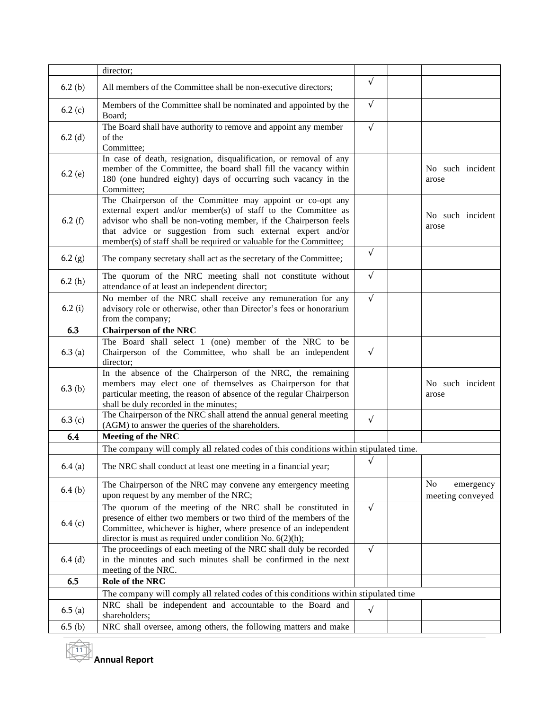|           | director;                                                                                                                                                                                                                                                                                                                            |            |                                     |
|-----------|--------------------------------------------------------------------------------------------------------------------------------------------------------------------------------------------------------------------------------------------------------------------------------------------------------------------------------------|------------|-------------------------------------|
| 6.2(b)    | All members of the Committee shall be non-executive directors;                                                                                                                                                                                                                                                                       | $\sqrt{ }$ |                                     |
| 6.2 $(c)$ | Members of the Committee shall be nominated and appointed by the<br>Board;                                                                                                                                                                                                                                                           | $\sqrt{ }$ |                                     |
| $6.2$ (d) | The Board shall have authority to remove and appoint any member<br>of the<br>Committee;                                                                                                                                                                                                                                              | $\sqrt{ }$ |                                     |
| 6.2(e)    | In case of death, resignation, disqualification, or removal of any<br>member of the Committee, the board shall fill the vacancy within<br>180 (one hundred eighty) days of occurring such vacancy in the<br>Committee;                                                                                                               |            | No such incident<br>arose           |
| 6.2 $(f)$ | The Chairperson of the Committee may appoint or co-opt any<br>external expert and/or member(s) of staff to the Committee as<br>advisor who shall be non-voting member, if the Chairperson feels<br>that advice or suggestion from such external expert and/or<br>member(s) of staff shall be required or valuable for the Committee; |            | No such incident<br>arose           |
| 6.2(g)    | The company secretary shall act as the secretary of the Committee;                                                                                                                                                                                                                                                                   | $\sqrt{ }$ |                                     |
| 6.2(h)    | The quorum of the NRC meeting shall not constitute without<br>attendance of at least an independent director;                                                                                                                                                                                                                        | $\sqrt{ }$ |                                     |
| 6.2(i)    | No member of the NRC shall receive any remuneration for any<br>advisory role or otherwise, other than Director's fees or honorarium<br>from the company;                                                                                                                                                                             | $\sqrt{ }$ |                                     |
| 6.3       | <b>Chairperson of the NRC</b>                                                                                                                                                                                                                                                                                                        |            |                                     |
| 6.3(a)    | The Board shall select 1 (one) member of the NRC to be<br>Chairperson of the Committee, who shall be an independent<br>director;                                                                                                                                                                                                     | $\sqrt{ }$ |                                     |
| 6.3(b)    | In the absence of the Chairperson of the NRC, the remaining<br>members may elect one of themselves as Chairperson for that<br>particular meeting, the reason of absence of the regular Chairperson<br>shall be duly recorded in the minutes;                                                                                         |            | No such incident<br>arose           |
| 6.3(c)    | The Chairperson of the NRC shall attend the annual general meeting<br>(AGM) to answer the queries of the shareholders.                                                                                                                                                                                                               | $\sqrt{ }$ |                                     |
| 6.4       | <b>Meeting of the NRC</b>                                                                                                                                                                                                                                                                                                            |            |                                     |
|           | The company will comply all related codes of this conditions within stipulated time.                                                                                                                                                                                                                                                 |            |                                     |
| 6.4(a)    | The NRC shall conduct at least one meeting in a financial year;                                                                                                                                                                                                                                                                      | $\sqrt{}$  |                                     |
| 6.4(b)    | The Chairperson of the NRC may convene any emergency meeting<br>upon request by any member of the NRC;                                                                                                                                                                                                                               |            | No<br>emergency<br>meeting conveyed |
| 6.4(c)    | The quorum of the meeting of the NRC shall be constituted in<br>presence of either two members or two third of the members of the<br>Committee, whichever is higher, where presence of an independent<br>director is must as required under condition No. $6(2)(h)$ ;                                                                | $\sqrt{ }$ |                                     |
| 6.4(d)    | The proceedings of each meeting of the NRC shall duly be recorded<br>in the minutes and such minutes shall be confirmed in the next<br>meeting of the NRC.                                                                                                                                                                           | $\sqrt{ }$ |                                     |
| 6.5       | Role of the NRC                                                                                                                                                                                                                                                                                                                      |            |                                     |
|           | The company will comply all related codes of this conditions within stipulated time                                                                                                                                                                                                                                                  |            |                                     |
| 6.5(a)    | NRC shall be independent and accountable to the Board and<br>shareholders;                                                                                                                                                                                                                                                           | $\sqrt{ }$ |                                     |
| 6.5(b)    | NRC shall oversee, among others, the following matters and make                                                                                                                                                                                                                                                                      |            |                                     |

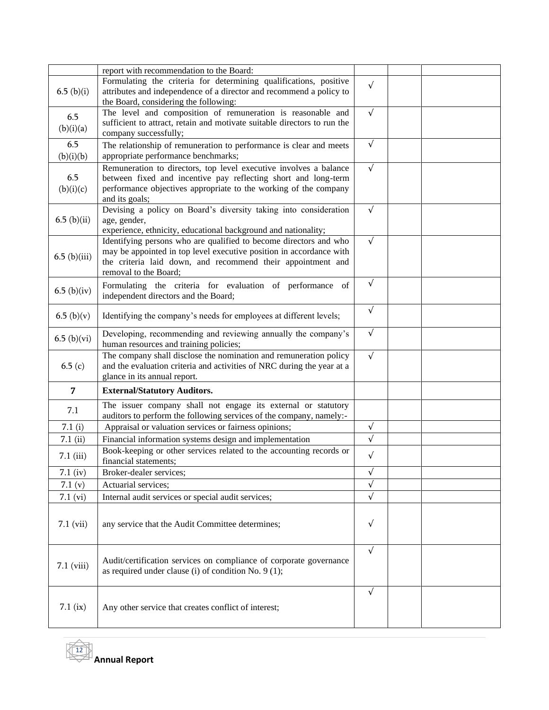|                | report with recommendation to the Board:                                                                                     |            |  |
|----------------|------------------------------------------------------------------------------------------------------------------------------|------------|--|
|                | Formulating the criteria for determining qualifications, positive                                                            |            |  |
| 6.5~(b)(i)     | attributes and independence of a director and recommend a policy to                                                          | $\sqrt{ }$ |  |
|                | the Board, considering the following:                                                                                        |            |  |
| 6.5            | The level and composition of remuneration is reasonable and                                                                  | $\sqrt{ }$ |  |
| (b)(i)(a)      | sufficient to attract, retain and motivate suitable directors to run the                                                     |            |  |
|                | company successfully;                                                                                                        |            |  |
| 6.5            | The relationship of remuneration to performance is clear and meets                                                           | $\sqrt{ }$ |  |
| (b)(i)(b)      | appropriate performance benchmarks;                                                                                          |            |  |
|                | Remuneration to directors, top level executive involves a balance                                                            | $\sqrt{ }$ |  |
| 6.5            | between fixed and incentive pay reflecting short and long-term                                                               |            |  |
| (b)(i)(c)      | performance objectives appropriate to the working of the company                                                             |            |  |
|                | and its goals;<br>Devising a policy on Board's diversity taking into consideration                                           | $\sqrt{ }$ |  |
| 6.5~(b)(ii)    | age, gender,                                                                                                                 |            |  |
|                | experience, ethnicity, educational background and nationality;                                                               |            |  |
|                | Identifying persons who are qualified to become directors and who                                                            | $\sqrt{}$  |  |
|                | may be appointed in top level executive position in accordance with                                                          |            |  |
| $6.5$ (b)(iii) | the criteria laid down, and recommend their appointment and                                                                  |            |  |
|                | removal to the Board;                                                                                                        |            |  |
|                | Formulating the criteria for evaluation of performance of                                                                    | $\sqrt{ }$ |  |
| 6.5~(b)(iv)    | independent directors and the Board;                                                                                         |            |  |
|                |                                                                                                                              | $\sqrt{ }$ |  |
| 6.5~(b)(v)     | Identifying the company's needs for employees at different levels;                                                           |            |  |
|                | Developing, recommending and reviewing annually the company's                                                                | $\sqrt{ }$ |  |
| 6.5~(b)(vi)    | human resources and training policies;                                                                                       |            |  |
|                | The company shall disclose the nomination and remuneration policy                                                            | $\sqrt{ }$ |  |
|                |                                                                                                                              |            |  |
| 6.5(c)         | and the evaluation criteria and activities of NRC during the year at a                                                       |            |  |
|                | glance in its annual report.                                                                                                 |            |  |
| $\overline{7}$ | <b>External/Statutory Auditors.</b>                                                                                          |            |  |
|                | The issuer company shall not engage its external or statutory                                                                |            |  |
| 7.1            | auditors to perform the following services of the company, namely:-                                                          |            |  |
| 7.1(i)         | Appraisal or valuation services or fairness opinions;                                                                        | $\sqrt{ }$ |  |
| 7.1(i)         | Financial information systems design and implementation                                                                      | $\sqrt{ }$ |  |
|                | Book-keeping or other services related to the accounting records or                                                          |            |  |
| $7.1$ (iii)    | financial statements;                                                                                                        | $\sqrt{}$  |  |
| $7.1$ (iv)     | Broker-dealer services;                                                                                                      | $\sqrt{}$  |  |
| 7.1 $(v)$      | Actuarial services;                                                                                                          | $\sqrt{}$  |  |
| 7.1 (vi)       | Internal audit services or special audit services;                                                                           | $\sqrt{ }$ |  |
|                |                                                                                                                              |            |  |
|                | any service that the Audit Committee determines;                                                                             | $\sqrt{}$  |  |
| $7.1$ (vii)    |                                                                                                                              |            |  |
|                |                                                                                                                              |            |  |
|                |                                                                                                                              | $\sqrt{}$  |  |
| $7.1$ (viii)   | Audit/certification services on compliance of corporate governance<br>as required under clause (i) of condition No. $9(1)$ ; |            |  |
|                |                                                                                                                              |            |  |
|                |                                                                                                                              | $\sqrt{ }$ |  |
|                |                                                                                                                              |            |  |
| $7.1$ (ix)     | Any other service that creates conflict of interest;                                                                         |            |  |